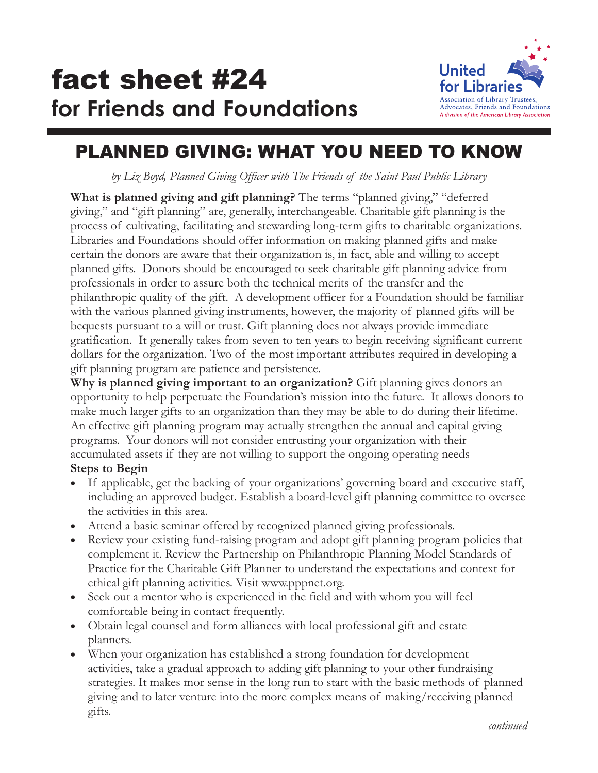

# PLANNED GIVING: WHAT YOU NEED TO KNOW

*by Liz Boyd, Planned Giving Officer with The Friends of the Saint Paul Public Library*

**What is planned giving and gift planning?** The terms "planned giving," "deferred giving," and "gift planning" are, generally, interchangeable. Charitable gift planning is the process of cultivating, facilitating and stewarding long-term gifts to charitable organizations. Libraries and Foundations should offer information on making planned gifts and make certain the donors are aware that their organization is, in fact, able and willing to accept planned gifts. Donors should be encouraged to seek charitable gift planning advice from professionals in order to assure both the technical merits of the transfer and the philanthropic quality of the gift. A development officer for a Foundation should be familiar with the various planned giving instruments, however, the majority of planned gifts will be bequests pursuant to a will or trust. Gift planning does not always provide immediate gratification. It generally takes from seven to ten years to begin receiving significant current dollars for the organization. Two of the most important attributes required in developing a gift planning program are patience and persistence.

**Why is planned giving important to an organization?** Gift planning gives donors an opportunity to help perpetuate the Foundation's mission into the future. It allows donors to make much larger gifts to an organization than they may be able to do during their lifetime. An effective gift planning program may actually strengthen the annual and capital giving programs. Your donors will not consider entrusting your organization with their accumulated assets if they are not willing to support the ongoing operating needs

#### **Steps to Begin**

If applicable, get the backing of your organizations' governing board and executive staff, including an approved budget. Establish a board-level gift planning committee to oversee the activities in this area.

Attend a basic seminar offered by recognized planned giving professionals.

Review your existing fund-raising program and adopt gift planning program policies that complement it. Review the Partnership on Philanthropic Planning Model Standards of Practice for the Charitable Gift Planner to understand the expectations and context for ethical gift planning activities. Visit www.pppnet.org.

Seek out a mentor who is experienced in the field and with whom you will feel comfortable being in contact frequently.

Obtain legal counsel and form alliances with local professional gift and estate planners.

When your organization has established a strong foundation for development activities, take a gradual approach to adding gift planning to your other fundraising strategies. It makes mor sense in the long run to start with the basic methods of planned giving and to later venture into the more complex means of making/receiving planned gifts.